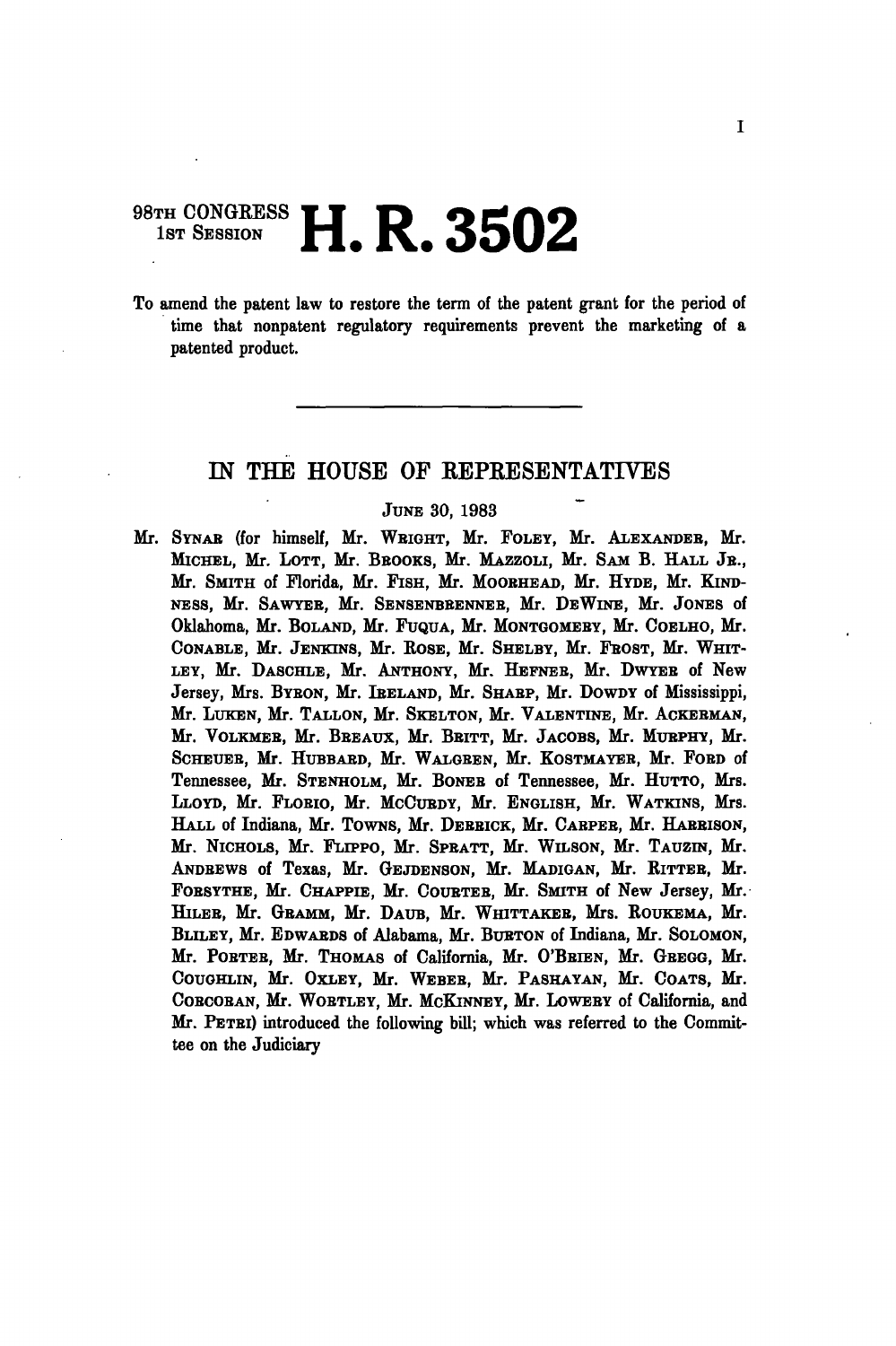## **98TH CONGRESS II D 0E00**  $1$ st Session  $\blacksquare$   $\blacksquare$  .  $\blacksquare$  .  $\spadesuit$  .  $\spadesuit$  .  $\spadesuit$  .  $\spadesuit$  .  $\spadesuit$  .  $\spadesuit$  .  $\spadesuit$  .  $\spadesuit$  .  $\spadesuit$  .  $\spadesuit$  .  $\spadesuit$  .  $\spadesuit$  .  $\spadesuit$  .  $\spadesuit$  .  $\spadesuit$  .  $\spadesuit$  .  $\spadesuit$  .  $\spadesuit$  .  $\spadesuit$  .  $\spadesuit$  .  $\$

To amend the patent law to restore the term of the patent grant for the period of time that nonpatent regulatory requirements prevent the marketing of a patented product.

## IN THE HOUSE OF EEPRESENTATIVES

## JUNE 30, 1983

Mr. SYNAB (for himself, Mr. WBIGHT, Mr. FOLEY, Mr. ALEXANDEB, Mr. MICHEL, Mr. LOTT, Mr. BBOOKS, Mr. MAZZOLI, Mr. SAM B. HALL JB., Mr. SMITH of Florida, Mr. FISH, Mr. MOOBHEAD, Mr. HYDE, Mr. KIND-NESS, Mr. SAWYBB, Mr. SENSENBBENNEB, Mr. DBWINE, Mr. JONES of Oklahoma, Mr. BOLAND, Mr. FUQUA, Mr. MONTGOMEBY, Mr. COELHO, Mr. CONABLE, Mr. JENKINS, Mr. ROSE, Mr. SHELBY, Mr. FROST, Mr. WHIT-LEY, Mr. DASCHLE, Mr. ANTHONY, Mr. HEFNEB, Mr. DWYEB of New Jersey, Mrs. BYBON, Mr. IRELAND, Mr. SHARP, Mr. DOWDY of Mississippi, Mr. LUKEN, Mr. TALLON, Mr. SKELTON, Mr. VALENTINE, Mr. ACKEBMAN, Mr. VOLKMEB, Mr. BBEAUX, Mr. BBITT, Mr. JACOBS, Mr. MUBPHY, Mr. SCHEUEB, Mr. HUBBABD, Mr. WALGBEN, Mr. KOSTMAYEB, Mr. FOBD of Tennessee, Mr. STENHOLM, Mr. BONEB of Tennessee, Mr. HUTTO, Mrs. LLOYD, Mr. FLOBIO, Mr. MCCUBDY, Mr. ENGLISH, Mr. WATKINS, Mrs. HALL of Indiana, Mr. TOWNS, Mr. DERRICK, Mr. CARPER, Mr. HARRISON, Mr. NICHOLS, Mr. FLIPPO, Mr. SPBATT, Mr. WILSON, Mr. TAUZIN, Mr. ANDBEWS of Texas, Mr. GEJDENSON, Mr. MADIGAN, Mr. RITTEB, Mr. FOBSYTHB, Mr. CHAPPIE, Mr. COUBTEB, Mr. SMITH of New Jersey, Mr. HILEB, Mr. GBAMM, Mr. DAUB, Mr. WHITTAKEB, Mrs. ROUKEMA, Mr. BLILEY, Mr. EDWARDS of Alabama, Mr. BURTON of Indiana, Mr. SOLOMON, Mr. POBTEB, Mr. THOMAS of California, Mr. O'BBIEN, Mr. GBEGG, Mr. COUGHLIN, Mr. OXLEY, Mr. WEBEB, Mr. PASHAYAN, Mr. COATS, Mr. COBCOBAN, Mr. WOBTLEY, Mr. MCKINNEY, Mr. LOWEBY of California, and Mr. PETBI) introduced the following bill; which was referred to the Committee on the Judiciary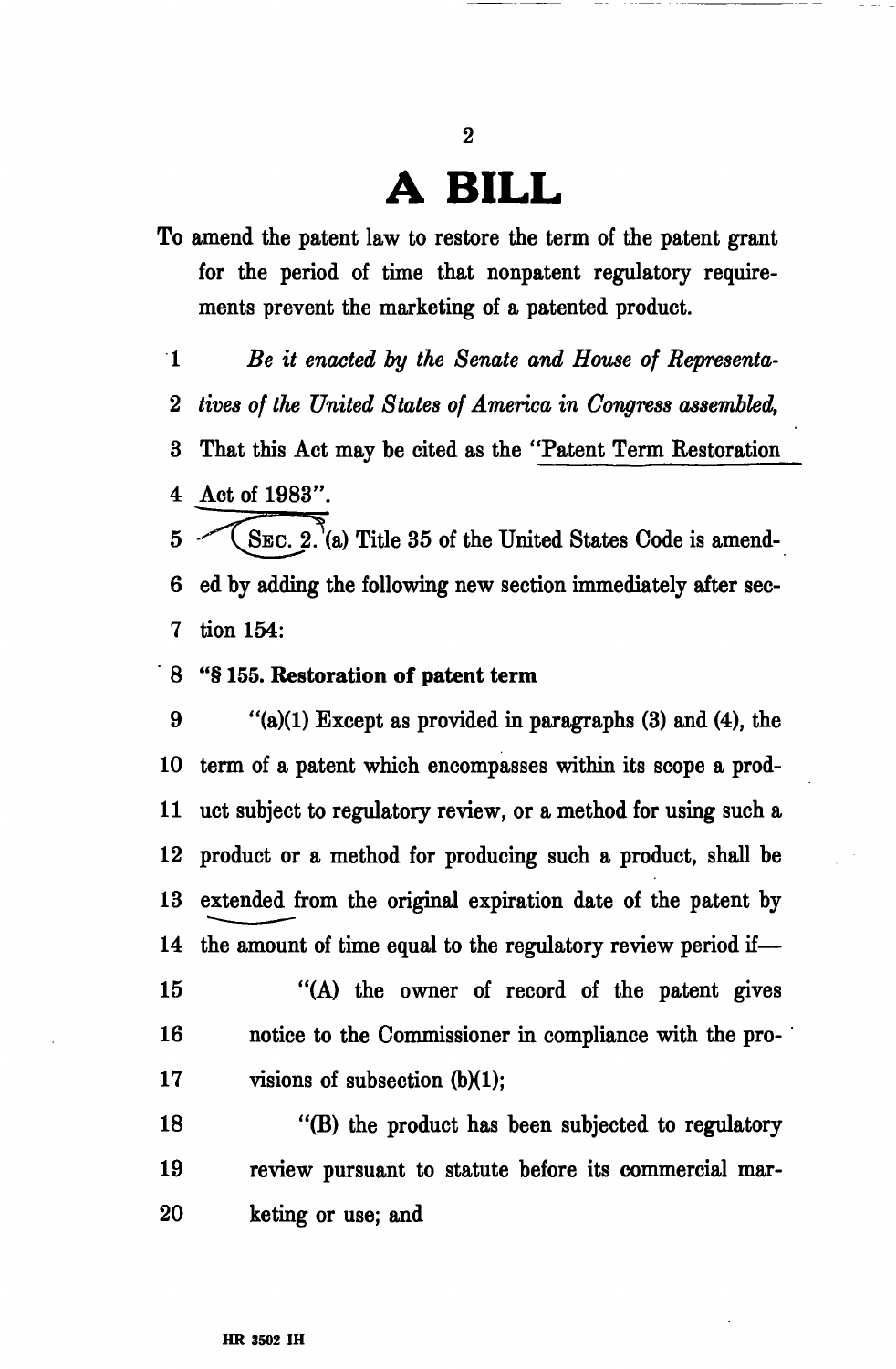## **A BILL**

**2** 

- To amend the patent law to restore the term of the patent grant for the period of time that nonpatent regulatory requirements prevent the marketing of a patented product.
- 1 *Be it enacted by the Senate and House of Representa-*
- 2 *tives of the United States of America in Congress assembled,*

3 That this Act may be cited as the "Patent Term Restoration 4 Act of 1983".

- $5 \sim$  (SEC. 2. (a) Title 35 of the United States Code is amend-6 ed by adding the following new section immediately after sec-7 tion 154:
- 8 "§ **155. Restoration of patent term**

9  $"({\bf a})$ (1) Except as provided in paragraphs (3) and (4), the 10 term of a patent which encompasses within its scope a prod-11 uct subject to regulatory review, or a method for using such a 12 product or a method for producing such a product, shall be 13 extended from the original expiration date of the patent by 14 the amount of time equal to the regulatory review period if— 15 "(A) the owner of record of the patent gives 16 notice to the Commissioner in compliance with the pro-17 visions of subsection (b)(1); 18 "(B) the product has been subjected to regulatory

19 review pursuant to statute before its commercial mar-20 keting or use; and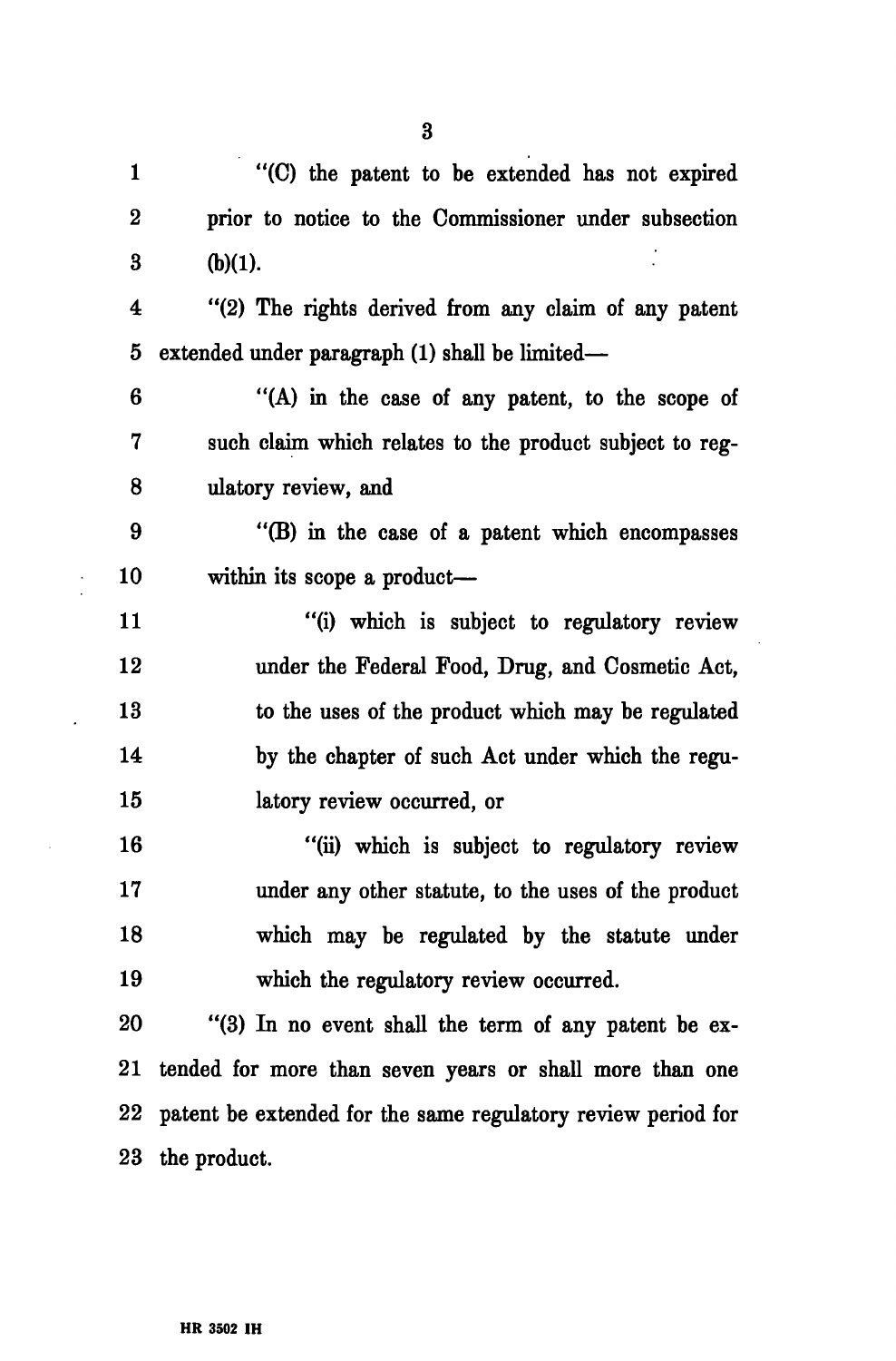1 "(C) the patent to be extended has not expired 2 prior to notice to the Commissioner under subsection 3 (b)(1).

4 "(2) The rights derived from any claim of any patent 5 extended under paragraph (1) shall be limited—

6 "(A) in the case of any patent, to the scope of 7 such claim which relates to the product subject to reg-8 ulatory review, and

9 "(B) in the case of a patent which encompasses 10 within its scope a product—

11 "(i) which is subject to regulatory review 12 under the Federal Food, Drug, and Cosmetic Act, 13 to the uses of the product which may be regulated 14 by the chapter of such Act under which the regu-15 latory review occurred, or

16 "(ii) which is subject to regulatory review 17 under any other statute, to the uses of the product 18 which may be regulated by the statute under 19 which the regulatory review occurred.

20 "(3) In no event shall the term of any patent be ex-21 tended for more than seven years or shall more than one 22 patent be extended for the same regulatory review period for 23 the product.

3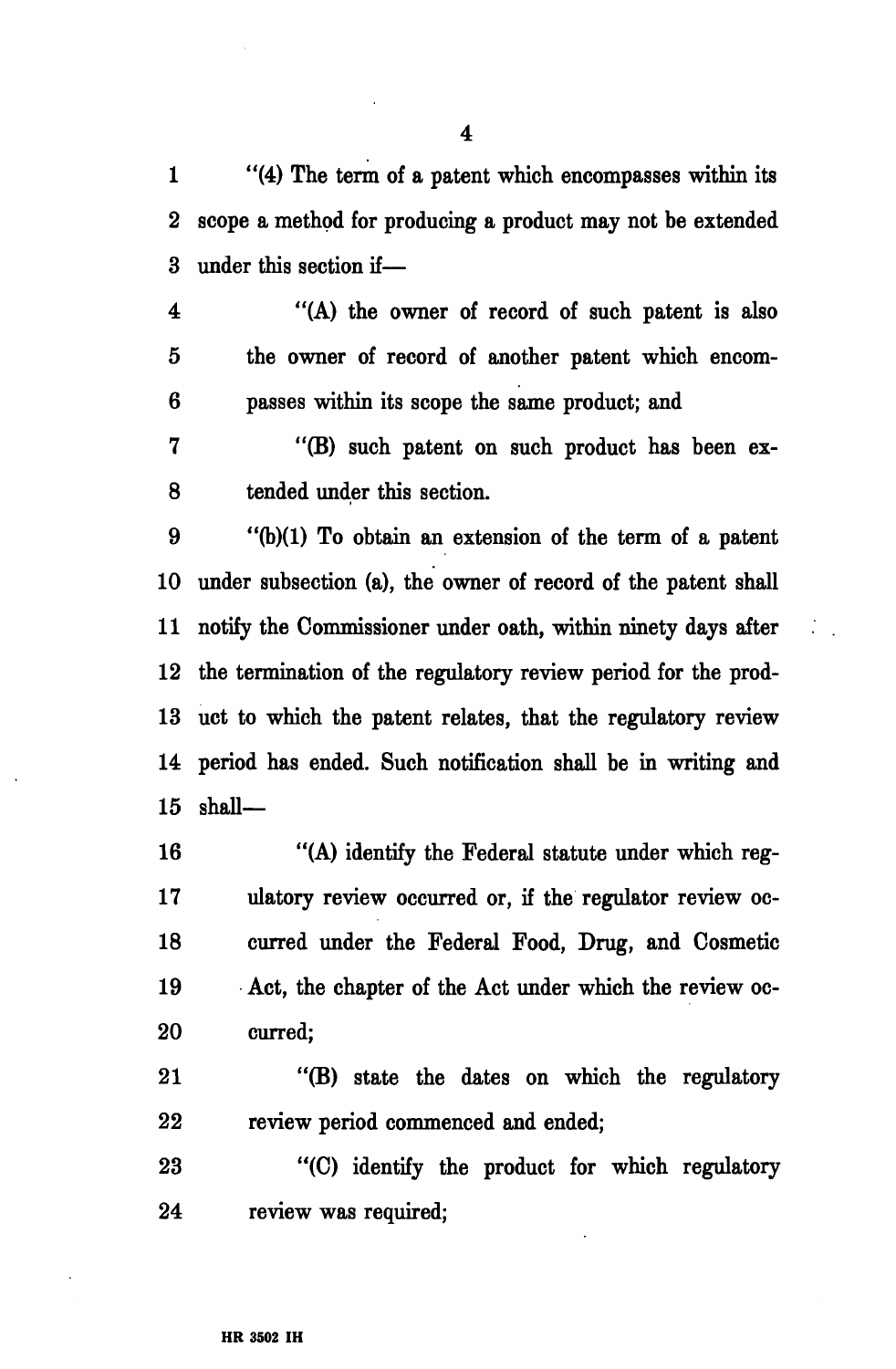1 "(4) The term of a patent which encompasses within its 2 scope a method for producing a product may not be extended 3 under this section if—

4 "(A) the owner of record of such patent is also 5 the owner of record of another patent which encom-6 passes within its scope the same product; and

7 "(B) such patent on such product has been ex-8 tended under this section.

9 "(b)(1) To obtain an extension of the term of a patent 10 under subsection (a), the owner of record of the patent shall 11 notify the Commissioner under oath, within ninety days after 12 the termination of the regulatory review period for the prod-13 uct to which the patent relates, that the regulatory review 14 period has ended. Such notification shall be in writing and 15 shall—

16 "(A) identify the Federal statute under which reg-17 ulatory review occurred or, if the regulator review oc-18 curred under the Federal Food, Drug, and Cosmetic 19 Act, the chapter of the Act under which the review oc-20 curred;

21 "(B) state the dates on which the regulatory 22 review period commenced and ended;

23 "(C) identify the product for which regulatory 24 review was required;

4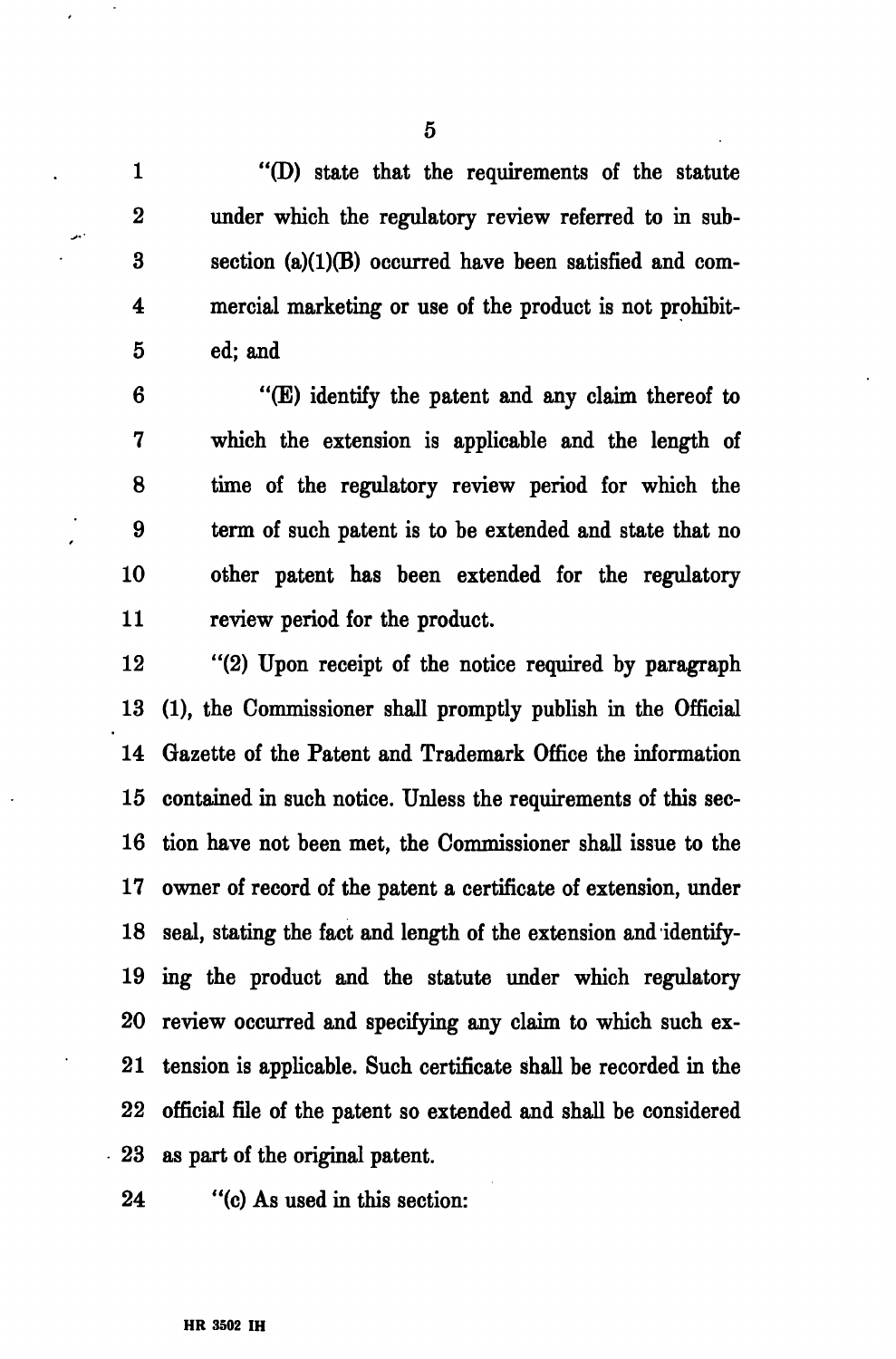1 "(D) state that the requirements of the statute 2 under which the regulatory review referred to in sub-3 section (a)(1)(B) occurred have been satisfied and com-4 mercial marketing or use of the product is not prohibit-5 ed; and

6 "(E) identify the patent and any claim thereof to 7 which the extension is applicable and the length of 8 time of the regulatory review period for which the 9 term of such patent is to be extended and state that no 10 other patent has been extended for the regulatory 11 review period for the product.

12 "(2) Upon receipt of the notice required by paragraph 13 (1), the Commissioner shall promptly publish in the Official 14 Gazette of the Patent and Trademark Office the information 15 contained in such notice. Unless the requirements of this sec-16 tion have not been met, the Commissioner shall issue to the 17 owner of record of the patent a certificate of extension, under 18 seal, stating the fact and length of the extension and identify-19 ing the product and the statute under which regulatory 20 review occurred and specifying any claim to which such ex-21 tension is applicable. Such certificate shall be recorded in the 22 official file of the patent so extended and shall be considered 23 as part of the original patent.

24 "(c) As used in this section:

5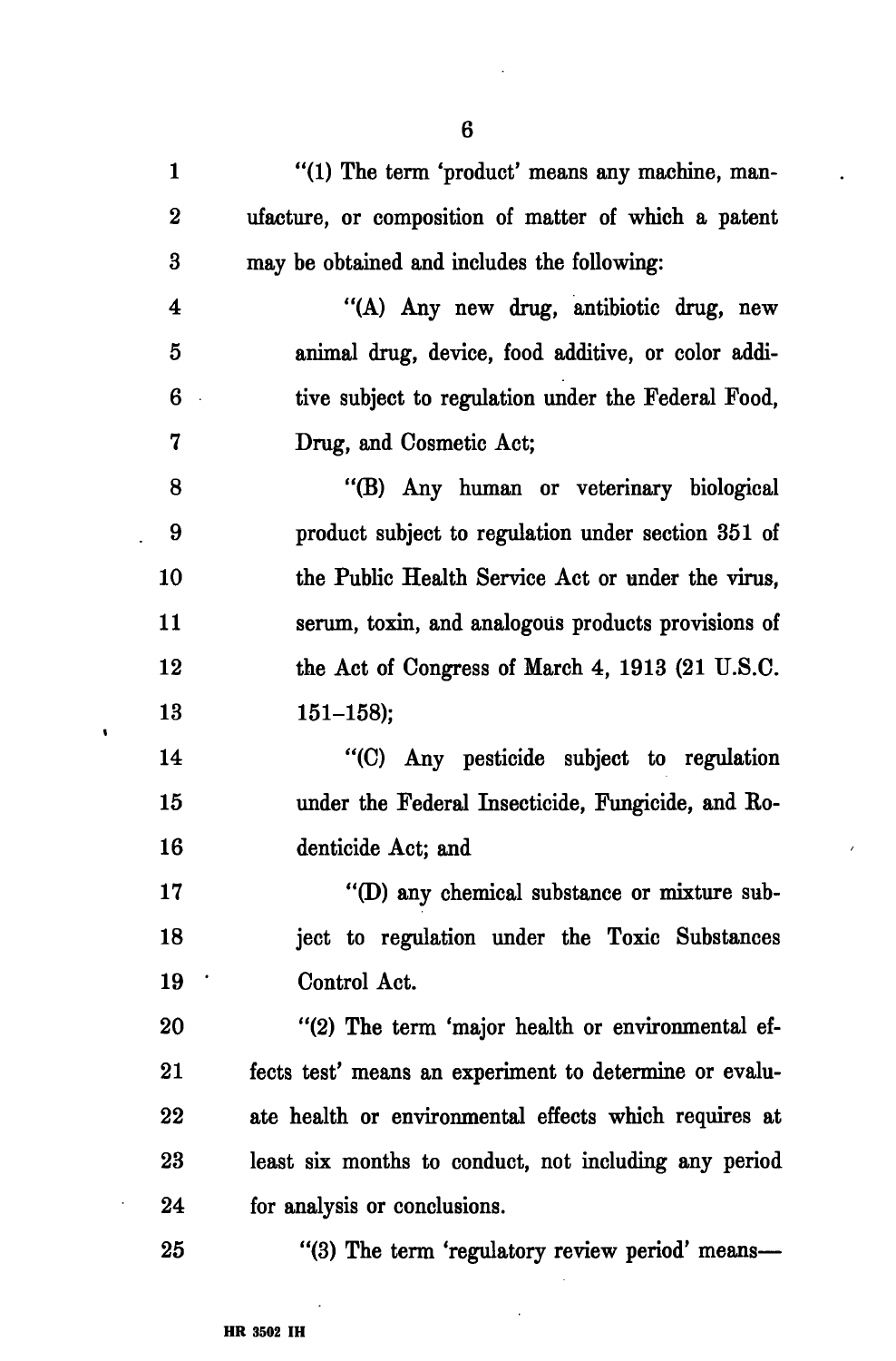1 "(1) The term 'product' means any machine, man-2 ufacture, or composition of matter of which a patent 3 may be obtained and includes the following: 4 "(A) Any new drug, antibiotic drug, new 5 animal drug, device, food additive, or color addi-6 tive subject to regulation under the Federal Food, 7 Drug, and Cosmetic Act; 8 "(B) Any human or veterinary biological 9 product subject to regulation under section 351 of 10 the Public Health Service Act or under the virus, 11 serum, toxin, and analogous products provisions of 12 the Act of Congress of March 4, 1913 (21 U.S.C. 13 151-158); 14 "(C) Any pesticide subject to regulation 15 under the Federal Insecticide, Fungicide, and Ro-16 denticide Act; and 17 "(D) any chemical substance or mixture sub-18 ject to regulation under the Toxic Substances 19 ' Control Act. 20 "(2) The term 'major health or environmental ef-21 fects test' means an experiment to determine or evalu-22 ate health or environmental effects which requires at 23 least six months to conduct, not including any period 24 for analysis or conclusions. 25 "(3) The term 'regulatory review period' means—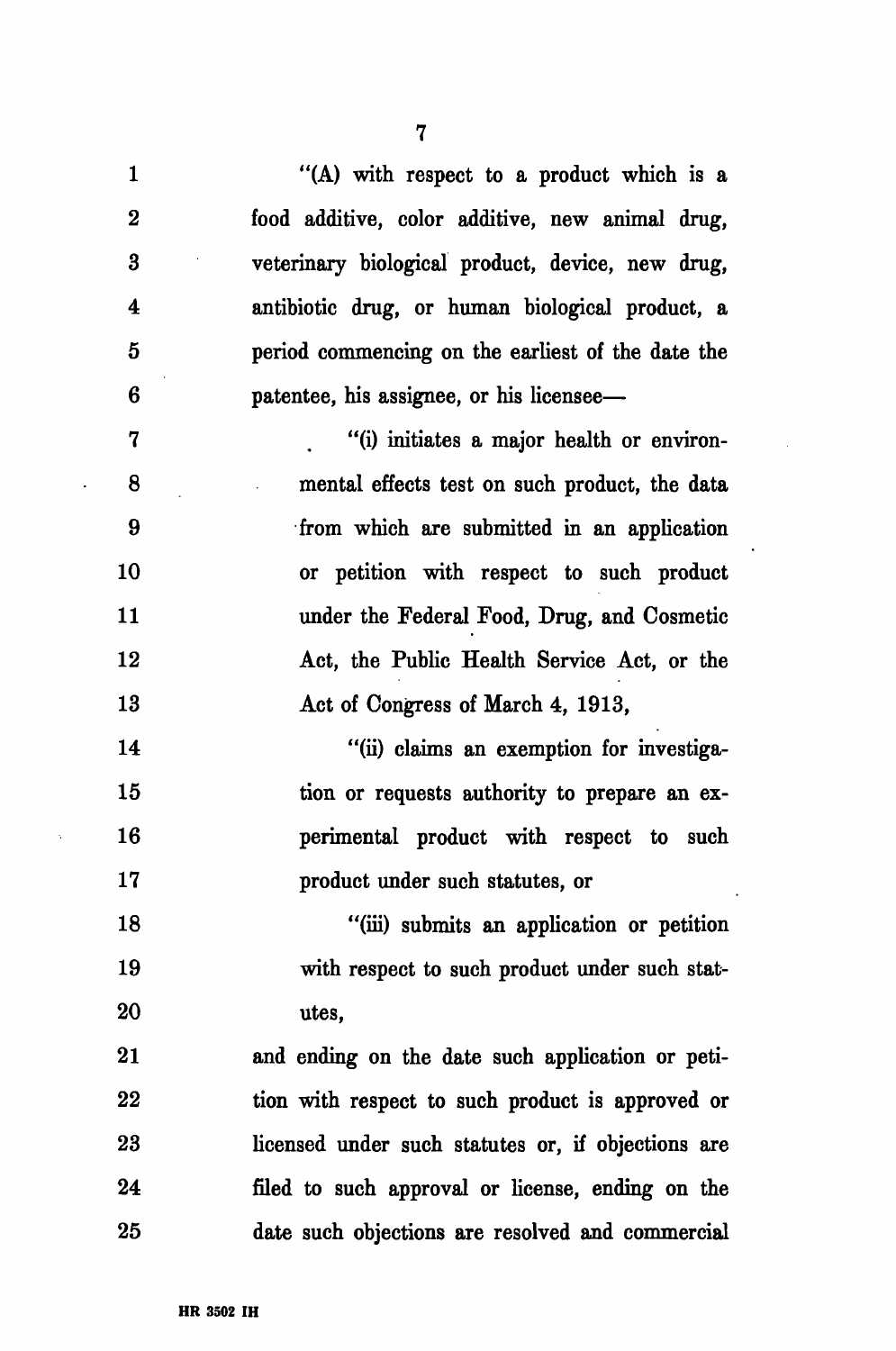| $\mathbf{1}$            | "(A) with respect to a product which is a          |
|-------------------------|----------------------------------------------------|
| $\bf{2}$                | food additive, color additive, new animal drug,    |
| $\bf{3}$                | veterinary biological product, device, new drug,   |
| $\overline{\textbf{4}}$ | antibiotic drug, or human biological product, a    |
| $\bf{5}$                | period commencing on the earliest of the date the  |
| 6                       | patentee, his assignee, or his licensee—           |
| 7                       | "(i) initiates a major health or environ-          |
| 8                       | mental effects test on such product, the data      |
| 9                       | from which are submitted in an application         |
| 10                      | or petition with respect to such product           |
| 11                      | under the Federal Food, Drug, and Cosmetic         |
| 12                      | Act, the Public Health Service Act, or the         |
| 13                      | Act of Congress of March 4, 1913,                  |
| 14                      | "(ii) claims an exemption for investiga-           |
| 15                      | tion or requests authority to prepare an ex-       |
| 16                      | perimental product with respect to such            |
| 17                      | product under such statutes, or                    |
| 18                      | "(iii) submits an application or petition          |
| 19                      | with respect to such product under such stat-      |
| 20                      | utes,                                              |
| 21                      | and ending on the date such application or peti-   |
| 22                      | tion with respect to such product is approved or   |
| 23                      | licensed under such statutes or, if objections are |
| 24                      | filed to such approval or license, ending on the   |
| 25                      | date such objections are resolved and commercial   |

 $\sim$ 

 $\ddot{\phantom{0}}$ 

7

 $\ddot{\phantom{a}}$ 

 $\hat{\beta}$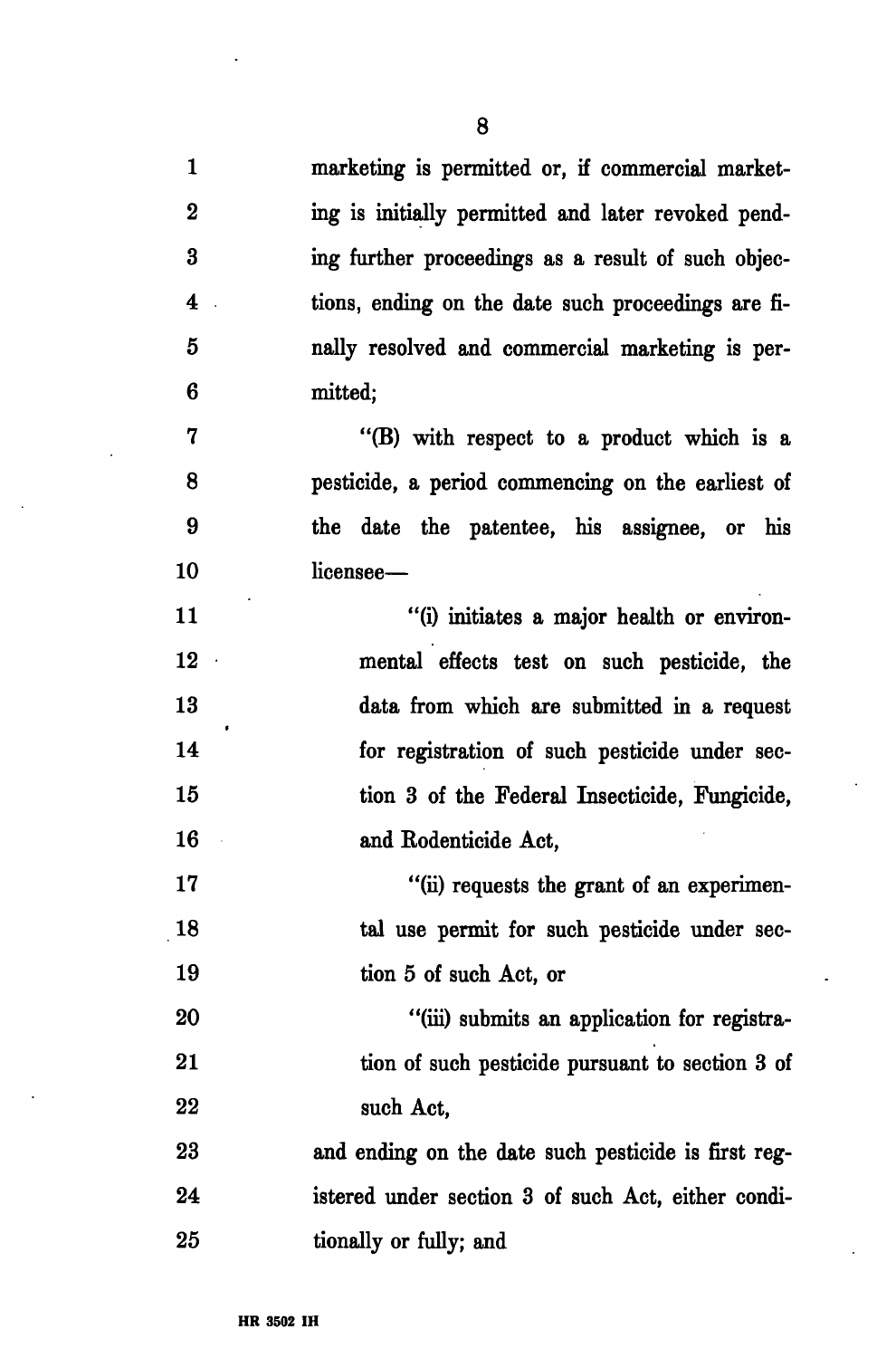1 marketing is permitted or, if commercial market-2 ing is initially permitted and later revoked pend-3 ing further proceedings as a result of such objec-4 tions, ending on the date such proceedings are fi-5 nally resolved and commercial marketing is per-6 mitted;

7 "(B) with respect to a product which is a 8 pesticide, a period commencing on the earliest of 9 the date the patentee, his assignee, or his 10 licensee—

11 "(i) initiates a major health or environ-12 mental effects test on such pesticide, the 13 data from which are submitted in a request 14 for registration of such pesticide under sec-15 tion 3 of the Federal Insecticide, Fungicide, 16 and Rodenticide Act,

17 "(ii) requests the grant of an experimen-18 tal use permit for such pesticide under sec-19 tion 5 of such Act, or

20 "(iii) submits an application for registra-21 tion of such pesticide pursuant to section 3 of 22 such Act,

23 and ending on the date such pesticide is first reg-24 istered under section 3 of such Act, either condi-25 tionally or fully; and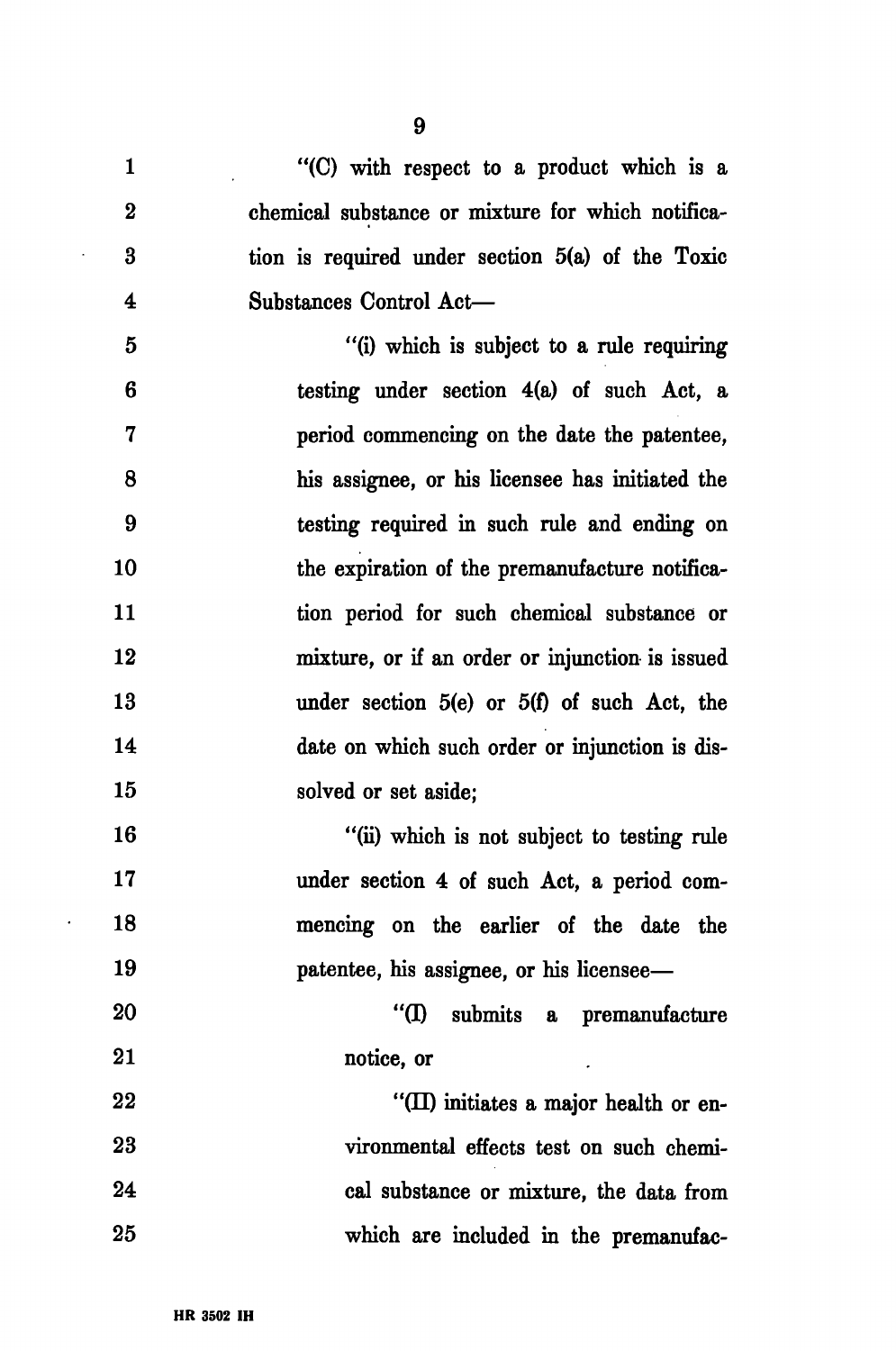| $\mathbf{1}$            | "(C) with respect to a product which is a          |
|-------------------------|----------------------------------------------------|
| $\bf{2}$                | chemical substance or mixture for which notifica-  |
| 3                       | tion is required under section $5(a)$ of the Toxic |
| $\overline{\mathbf{4}}$ | Substances Control Act-                            |
| $\overline{5}$          | "(i) which is subject to a rule requiring          |
| 6                       | testing under section $4(a)$ of such Act, a        |
| $\overline{\mathbf{7}}$ | period commencing on the date the patentee,        |
| 8                       | his assignee, or his licensee has initiated the    |
| 9                       | testing required in such rule and ending on        |
| 10                      | the expiration of the premanufacture notifica-     |
| 11                      | tion period for such chemical substance or         |
| 12                      | mixture, or if an order or injunction is issued    |
| 13                      | under section $5(e)$ or $5(f)$ of such Act, the    |
| 14                      | date on which such order or injunction is dis-     |
| 15                      | solved or set aside;                               |
| 16                      | "(ii) which is not subject to testing rule         |
| 17                      | under section 4 of such Act, a period com-         |
| 18                      | mencing on the earlier of the date the             |
| 19                      | patentee, his assignee, or his licensee—           |
| 20                      | "(I)<br>submits a premanufacture                   |
| 21                      | notice, or                                         |
| 22                      | "(II) initiates a major health or en-              |
| 23                      | vironmental effects test on such chemi-            |
| 24                      | cal substance or mixture, the data from            |
| 25                      | which are included in the premanufac-              |

 $\sim$ 

 $\mathcal{L}_{\mathcal{A}}$